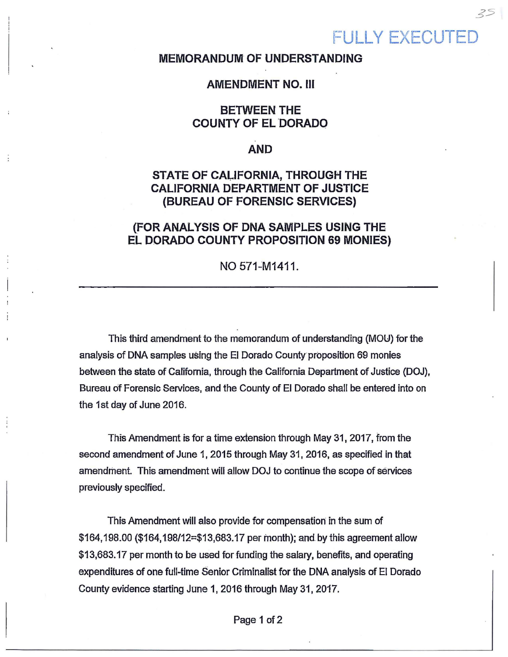# **FULLY EXECUTEI**

#### **MEMORANDUM OF UNDERSTANDING**

#### **AMENDMENT NO.** Ill

## **BETWEEN THE COUNTY OF EL 'DORADO**

#### **AND**

# **STATE OF CAliFORNIA, THROUGH THE CALIFORNIA DEPARTMENT OF JUSTICE (BUREAU OF FORENSIC SERVICES)**

### **(FOR ANALYSIS OF DNA SAMPLES USING THE EL DORADO COUNTY PROPOSITION 69 MONIES)**

#### NO 571-M1411.

This third amendment to the memorandum of understanding (MOU) for the analysis of DNA samples using the El Dorado County proposition 69 monies between the state of California, through the California Department of Justice (DOJ), Bureau of Forensic Services, and the County of El Dorado shall be entered into on the 1st day of June 2016.

This Amendment is for a time extension through May 31, 2017, from the second amendment of June 1, 2015 through May 31,2016, as specified in that amendment. This amendment will allow DOJ to continue the scope of services previously specified.

This Amendment will also provide for compensation in the sum of  $$164,198.00$  ( $$164,198/12=$  $$13,683.17$  per month); and by this agreement allow \$13,683.17 per month to be used forfundiog the salary, benefits, and operating expenditures of one full-time Senior Criminalist for the DNA analysis of EJ Dorado County evidence starting June 1, 2016 through May 31, 2017.